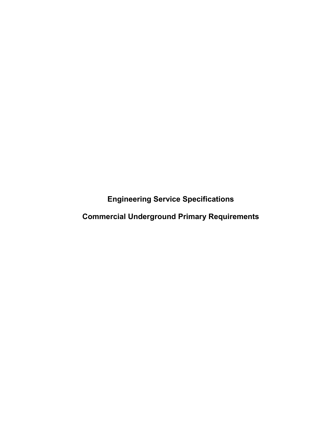**Engineering Service Specifications**

**Commercial Underground Primary Requirements**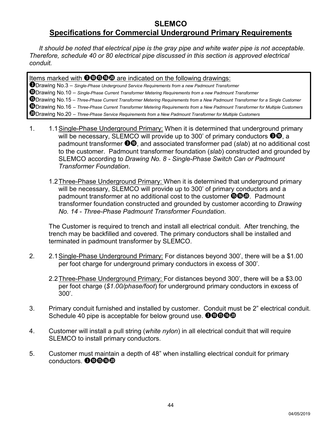## **SLEMCO Specifications for Commercial Underground Primary Requirements**

*It should be noted that electrical pipe is the gray pipe and white water pipe is not acceptable. Therefore, schedule 40 or 80 electrical pipe discussed in this section is approved electrical conduit.*

Items marked with **<sup>30000</mark>** are indicated on the following drawings:</sup> Drawing No.3 – *Single-Phase Underground Service Requirements from a new Padmount Transformer* Drawing No.10 – *Single-Phase Current Transformer Metering Requirements from a new Padmount Transformer* Drawing No.15 – *Three-Phase Current Transformer Metering Requirements from a New Padmount Transformer for a Single Customer* Drawing No.16 – *Three-Phase Current Transformer Metering Requirements from a New Padmount Transformer for Multiple Customers* Drawing No.20 – *Three-Phase Service Requirements from a New Padmount Transformer for Multiple Customers*

- 1. 1.1 Single-Phase Underground Primary: When it is determined that underground primary will be necessary, SLEMCO will provide up to 300' of primary conductors  $\mathbf{\Theta} \mathbf{0}$ , a padmount transformer **<sup>30</sup>**, and associated transformer pad (*slab*) at no additional cost to the customer. Padmount transformer foundation (*slab*) constructed and grounded by SLEMCO according to *Drawing No. 8 - Single-Phase Switch Can or Padmount Transformer Foundation*.
	- 1.2Three-Phase Underground Primary: When it is determined that underground primary will be necessary, SLEMCO will provide up to 300' of primary conductors and a padmount transformer at no additional cost to the customer  $\mathbf{\textcircled{0}\textcircled{0}}$ . Padmount transformer foundation constructed and grounded by customer according to *Drawing No. 14 - Three-Phase Padmount Transformer Foundation*.

The Customer is required to trench and install all electrical conduit. After trenching, the trench may be backfilled and covered. The primary conductors shall be installed and terminated in padmount transformer by SLEMCO.

- 2. 2.1Single-Phase Underground Primary: For distances beyond 300', there will be a \$1.00 per foot charge for underground primary conductors in excess of 300'.
	- 2.2Three-Phase Underground Primary: For distances beyond 300', there will be a \$3.00 per foot charge (*\$1.00/phase/foot*) for underground primary conductors in excess of 300'.
- 3. Primary conduit furnished and installed by customer. Conduit must be 2" electrical conduit. Schedule 40 pipe is acceptable for below ground use. **OOOOO**
- 4. Customer will install a pull string (*white nylon*) in all electrical conduit that will require SLEMCO to install primary conductors.
- 5. Customer must maintain a depth of 48" when installing electrical conduit for primary conductors. **@**@**@@@**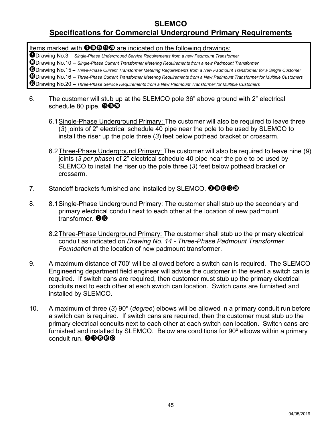## **SLEMCO**

## **Specifications for Commercial Underground Primary Requirements**

Items marked with **<sup>300600</sup>** are indicated on the following drawings:

Drawing No.3 – *Single-Phase Underground Service Requirements from a new Padmount Transformer*

Drawing No.10 – *Single-Phase Current Transformer Metering Requirements from a new Padmount Transformer*

Drawing No.15 – *Three-Phase Current Transformer Metering Requirements from a New Padmount Transformer for a Single Customer*

Drawing No.16 – *Three-Phase Current Transformer Metering Requirements from a New Padmount Transformer for Multiple Customers*

Drawing No.20 – *Three-Phase Service Requirements from a New Padmount Transformer for Multiple Customers*

- 6. The customer will stub up at the SLEMCO pole 36" above ground with 2" electrical schedule 80 pipe.  $\mathbf{\mathbf{\Theta}}\mathbf{\mathbf{\Phi}}\mathbf{\mathbf{\Phi}}$ 
	- 6.1 Single-Phase Underground Primary: The customer will also be required to leave three (*3*) joints of 2" electrical schedule 40 pipe near the pole to be used by SLEMCO to install the riser up the pole three (*3*) feet below pothead bracket or crossarm.
	- 6.2Three-Phase Underground Primary: The customer will also be required to leave nine (*9*) joints (*3 per phase*) of 2" electrical schedule 40 pipe near the pole to be used by SLEMCO to install the riser up the pole three (*3*) feet below pothead bracket or crossarm.
- 7. Standoff brackets furnished and installed by SLEMCO. **OOGGO**
- 8. 8.1Single-Phase Underground Primary: The customer shall stub up the secondary and primary electrical conduit next to each other at the location of new padmount transformer. **OD** 
	- 8.2 Three-Phase Underground Primary: The customer shall stub up the primary electrical conduit as indicated on *Drawing No. 14 - Three-Phase Padmount Transformer Foundation* at the location of new padmount transformer.
- 9. A maximum distance of 700' will be allowed before a switch can is required. The SLEMCO Engineering department field engineer will advise the customer in the event a switch can is required. If switch cans are required, then customer must stub up the primary electrical conduits next to each other at each switch can location. Switch cans are furnished and installed by SLEMCO.
- 10. A maximum of three (*3*) 90º (*degree*) elbows will be allowed in a primary conduit run before a switch can is required. If switch cans are required, then the customer must stub up the primary electrical conduits next to each other at each switch can location. Switch cans are furnished and installed by SLEMCO. Below are conditions for 90<sup>°</sup> elbows within a primary conduit run. **<sup>OOOOO</sup>**